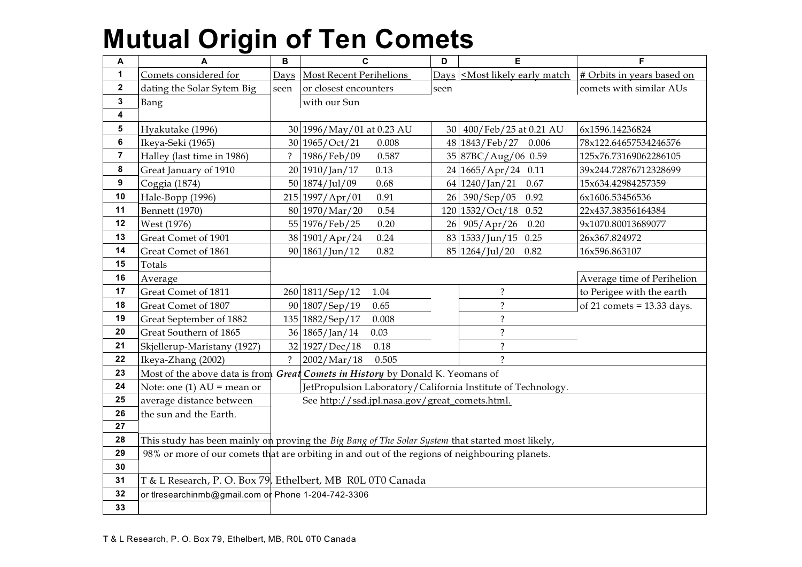| A                       | A                                                                                                | B              | $\mathbf c$                                                                    | D               | Е                                                                                        | F                            |
|-------------------------|--------------------------------------------------------------------------------------------------|----------------|--------------------------------------------------------------------------------|-----------------|------------------------------------------------------------------------------------------|------------------------------|
| $\mathbf{1}$            | Comets considered for                                                                            | Days           | <b>Most Recent Perihelions</b>                                                 |                 | Days <most early="" likely="" match<="" th=""><th># Orbits in years based on</th></most> | # Orbits in years based on   |
| $\mathbf 2$             | dating the Solar Sytem Big                                                                       | seen           | or closest encounters                                                          | seen            |                                                                                          | comets with similar AUs      |
| $\mathbf 3$             | Bang                                                                                             |                | with our Sun                                                                   |                 |                                                                                          |                              |
| $\overline{\mathbf{4}}$ |                                                                                                  |                |                                                                                |                 |                                                                                          |                              |
| ${\bf 5}$               | Hyakutake (1996)                                                                                 |                | 30 1996/May/01 at 0.23 AU                                                      | 30 <sup>1</sup> | 400/Feb/25 at 0.21 AU                                                                    | 6x1596.14236824              |
| $\bf 6$                 | Ikeya-Seki (1965)                                                                                |                | 30 1965/Oct/21<br>0.008                                                        |                 | 48 1843/Feb/27<br>0.006                                                                  | 78x122.64657534246576        |
| $\overline{7}$          | Halley (last time in 1986)                                                                       | $\ddot{?}$     | 1986/Feb/09<br>0.587                                                           |                 | 35 87BC/Aug/06 0.59                                                                      | 125x76.73169062286105        |
| 8                       | Great January of 1910                                                                            |                | 20 1910/Jan/17<br>0.13                                                         |                 | $24 1665/Apr/24$ 0.11                                                                    | 39x244.72876712328699        |
| 9                       | Coggia (1874)                                                                                    |                | 0.68<br>50 1874/Jul/09                                                         |                 | $64 1240/$ Jan/21<br>0.67                                                                | 15x634.42984257359           |
| 10                      | Hale-Bopp (1996)                                                                                 |                | 215 1997/Apr/01<br>0.91                                                        |                 | 26 390/Sep/05<br>0.92                                                                    | 6x1606.53456536              |
| 11                      | Bennett (1970)                                                                                   |                | 80 1970/Mar/20<br>0.54                                                         |                 | $120 1532/Oct/18$ 0.52                                                                   | 22x437.38356164384           |
| 12                      | West (1976)                                                                                      |                | 55 1976/Feb/25<br>0.20                                                         |                 | 26 905/Apr/26<br>0.20                                                                    | 9x1070.80013689077           |
| 13                      | Great Comet of 1901                                                                              |                | 38 1901/Apr/24<br>0.24                                                         |                 | $83 1533/Jun/15$ 0.25                                                                    | 26x367.824972                |
| 14                      | Great Comet of 1861                                                                              |                | 90 1861/Jun/12<br>0.82                                                         |                 | 85 1264/Jul/20<br>0.82                                                                   | 16x596.863107                |
| 15                      | Totals                                                                                           |                |                                                                                |                 |                                                                                          |                              |
| 16                      | Average                                                                                          |                |                                                                                |                 |                                                                                          | Average time of Perihelion   |
| 17                      | Great Comet of 1811                                                                              |                | 260 1811/Sep/12<br>1.04                                                        |                 | $\ddot{?}$                                                                               | to Perigee with the earth    |
| 18                      | Great Comet of 1807                                                                              |                | 90 1807/Sep/19<br>0.65                                                         |                 | $\ddot{?}$                                                                               | of 21 comets = $13.33$ days. |
| 19                      | Great September of 1882                                                                          |                | 135 1882/Sep/17<br>0.008                                                       |                 | $\ddot{?}$                                                                               |                              |
| 20                      | Great Southern of 1865                                                                           |                | 36 1865/Jan/14<br>0.03                                                         |                 | $\overline{\cdot}$                                                                       |                              |
| 21                      | Skjellerup-Maristany (1927)                                                                      |                | 32 1927/Dec/18<br>0.18                                                         |                 | $\ddot{?}$                                                                               |                              |
| 22                      | Ikeya-Zhang (2002)                                                                               | $\overline{?}$ | 2002/Mar/18<br>0.505                                                           |                 | $\mathcal{P}$                                                                            |                              |
| 23                      |                                                                                                  |                | Most of the above data is from Great Comets in History by Donald K. Yeomans of |                 |                                                                                          |                              |
| 24                      | Note: one (1) $AU =$ mean or                                                                     |                | JetPropulsion Laboratory/California Institute of Technology.                   |                 |                                                                                          |                              |
| 25                      | average distance between                                                                         |                | See http://ssd.jpl.nasa.gov/great_comets.html.                                 |                 |                                                                                          |                              |
| 26                      | the sun and the Earth.                                                                           |                |                                                                                |                 |                                                                                          |                              |
| 27                      |                                                                                                  |                |                                                                                |                 |                                                                                          |                              |
| 28                      | This study has been mainly on proving the Big Bang of The Solar System that started most likely, |                |                                                                                |                 |                                                                                          |                              |
| 29                      | 98% or more of our comets that are orbiting in and out of the regions of neighbouring planets.   |                |                                                                                |                 |                                                                                          |                              |
| 30                      |                                                                                                  |                |                                                                                |                 |                                                                                          |                              |
| 31                      | T & L Research, P. O. Box 79, Ethelbert, MB R0L 0T0 Canada                                       |                |                                                                                |                 |                                                                                          |                              |
| 32                      | or tlresearchinmb@gmail.com or Phone 1-204-742-3306                                              |                |                                                                                |                 |                                                                                          |                              |
| 33                      |                                                                                                  |                |                                                                                |                 |                                                                                          |                              |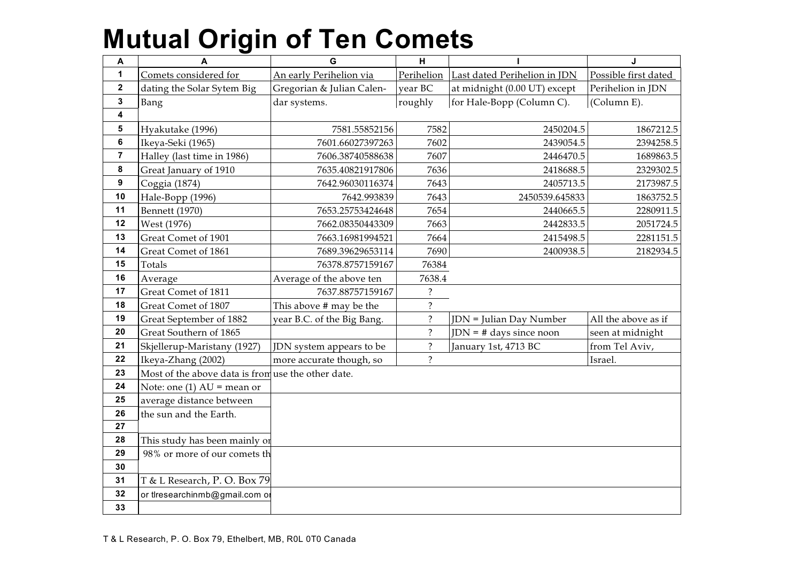| $\boldsymbol{\mathsf{A}}$ | A                                                  | G                          | H          |                              | J                    |
|---------------------------|----------------------------------------------------|----------------------------|------------|------------------------------|----------------------|
| $\mathbf 1$               | Comets considered for                              | An early Perihelion via    | Perihelion | Last dated Perihelion in JDN | Possible first dated |
| $\mathbf{2}$              | dating the Solar Sytem Big                         | Gregorian & Julian Calen-  | year BC    | at midnight (0.00 UT) except | Perihelion in JDN    |
| 3                         | Bang                                               | dar systems.               | roughly    | for Hale-Bopp (Column C).    | (Column E).          |
| 4                         |                                                    |                            |            |                              |                      |
| 5                         | Hyakutake (1996)                                   | 7581.55852156              | 7582       | 2450204.5                    | 1867212.5            |
| 6                         | Ikeya-Seki (1965)                                  | 7601.66027397263           | 7602       | 2439054.5                    | 2394258.5            |
| $\overline{7}$            | Halley (last time in 1986)                         | 7606.38740588638           | 7607       | 2446470.5                    | 1689863.5            |
| 8                         | Great January of 1910                              | 7635.40821917806           | 7636       | 2418688.5                    | 2329302.5            |
| $\boldsymbol{9}$          | Coggia (1874)                                      | 7642.96030116374           | 7643       | 2405713.5                    | 2173987.5            |
| 10                        | Hale-Bopp (1996)                                   | 7642.993839                | 7643       | 2450539.645833               | 1863752.5            |
| 11                        | Bennett (1970)                                     | 7653.25753424648           | 7654       | 2440665.5                    | 2280911.5            |
| 12                        | West (1976)                                        | 7662.08350443309           | 7663       | 2442833.5                    | 2051724.5            |
| 13                        | Great Comet of 1901                                | 7663.16981994521           | 7664       | 2415498.5                    | 2281151.5            |
| 14                        | Great Comet of 1861                                | 7689.39629653114           | 7690       | 2400938.5                    | 2182934.5            |
| 15                        | Totals                                             | 76378.8757159167           | 76384      |                              |                      |
| 16                        | Average                                            | Average of the above ten   | 7638.4     |                              |                      |
| 17                        | Great Comet of 1811                                | 7637.88757159167           | $\ddot{?}$ |                              |                      |
| 18                        | Great Comet of 1807                                | This above # may be the    | $\ddot{?}$ |                              |                      |
| 19                        | Great September of 1882                            | year B.C. of the Big Bang. | $\ddot{?}$ | JDN = Julian Day Number      | All the above as if  |
| 20                        | Great Southern of 1865                             |                            | $\ddot{?}$ | $JDN = #$ days since noon    | seen at midnight     |
| 21                        | Skjellerup-Maristany (1927)                        | JDN system appears to be   | $\ddot{?}$ | January 1st, 4713 BC         | from Tel Aviv,       |
| 22                        | Ikeya-Zhang (2002)                                 | more accurate though, so   | $\ddot{?}$ |                              | Israel.              |
| 23                        | Most of the above data is from use the other date. |                            |            |                              |                      |
| 24                        | Note: one $(1)$ AU = mean or                       |                            |            |                              |                      |
| 25                        | average distance between                           |                            |            |                              |                      |
| 26                        | the sun and the Earth.                             |                            |            |                              |                      |
| 27                        |                                                    |                            |            |                              |                      |
| 28                        | This study has been mainly or                      |                            |            |                              |                      |
| 29                        | 98% or more of our comets th                       |                            |            |                              |                      |
| 30                        |                                                    |                            |            |                              |                      |
| 31                        | T & L Research, P. O. Box 79                       |                            |            |                              |                      |
| 32                        | or tiresearchinmb@gmail.com or                     |                            |            |                              |                      |
| 33                        |                                                    |                            |            |                              |                      |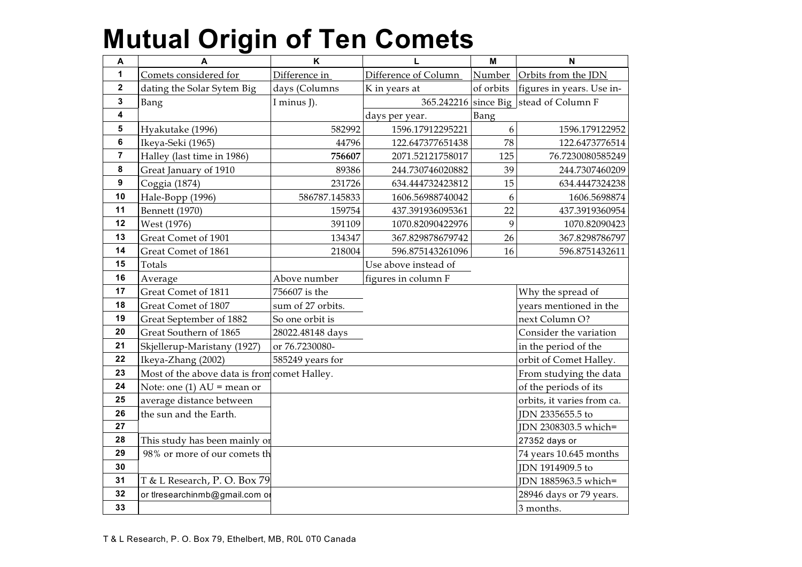| Α              | A                                            | K                 | L                    | M         | N                          |
|----------------|----------------------------------------------|-------------------|----------------------|-----------|----------------------------|
| 1              | Comets considered for                        | Difference in     | Difference of Column | Number    | Orbits from the JDN        |
| $\mathbf 2$    | dating the Solar Sytem Big                   | days (Columns     | K in years at        | of orbits | figures in years. Use in-  |
| 3              | Bang                                         | I minus J).       | 365.242216 since Big |           | stead of Column F          |
| 4              |                                              |                   | days per year.       | Bang      |                            |
| 5              | Hyakutake (1996)                             | 582992            | 1596.17912295221     | 6         | 1596.179122952             |
| 6              | Ikeya-Seki (1965)                            | 44796             | 122.647377651438     | 78        | 122.6473776514             |
| $\overline{7}$ | Halley (last time in 1986)                   | 756607            | 2071.52121758017     | 125       | 76.7230080585249           |
| 8              | Great January of 1910                        | 89386             | 244.730746020882     | 39        | 244.7307460209             |
| 9              | Coggia (1874)                                | 231726            | 634.444732423812     | 15        | 634.4447324238             |
| 10             | Hale-Bopp (1996)                             | 586787.145833     | 1606.56988740042     | 6         | 1606.5698874               |
| 11             | <b>Bennett</b> (1970)                        | 159754            | 437.391936095361     | 22        | 437.3919360954             |
| 12             | West (1976)                                  | 391109            | 1070.82090422976     | 9         | 1070.82090423              |
| 13             | Great Comet of 1901                          | 134347            | 367.829878679742     | 26        | 367.8298786797             |
| 14             | Great Comet of 1861                          | 218004            | 596.875143261096     | 16        | 596.8751432611             |
| 15             | Totals                                       |                   | Use above instead of |           |                            |
| 16             | Average                                      | Above number      | figures in column F  |           |                            |
| 17             | Great Comet of 1811                          | 756607 is the     |                      |           | Why the spread of          |
| 18             | Great Comet of 1807                          | sum of 27 orbits. |                      |           | years mentioned in the     |
| 19             | Great September of 1882                      | So one orbit is   |                      |           | next Column O?             |
| 20             | Great Southern of 1865                       | 28022.48148 days  |                      |           | Consider the variation     |
| 21             | Skjellerup-Maristany (1927)                  | or 76.7230080-    |                      |           | in the period of the       |
| 22             | Ikeya-Zhang (2002)                           | 585249 years for  |                      |           | orbit of Comet Halley.     |
| 23             | Most of the above data is from comet Halley. |                   |                      |           | From studying the data     |
| 24             | Note: one (1) $AU =$ mean or                 |                   |                      |           | of the periods of its      |
| 25             | average distance between                     |                   |                      |           | orbits, it varies from ca. |
| 26             | the sun and the Earth.                       |                   |                      |           | JDN 2335655.5 to           |
| 27             |                                              |                   |                      |           | JDN 2308303.5 which=       |
| 28             | This study has been mainly or                |                   |                      |           | 27352 days or              |
| 29             | 98% or more of our comets th                 |                   |                      |           | 74 years 10.645 months     |
| 30             |                                              |                   |                      |           | JDN 1914909.5 to           |
| 31             | T & L Research, P. O. Box 79                 |                   |                      |           | JDN 1885963.5 which=       |
| 32             | or tlresearchinmb@gmail.com or               |                   |                      |           | 28946 days or 79 years.    |
| 33             |                                              |                   |                      |           | 3 months.                  |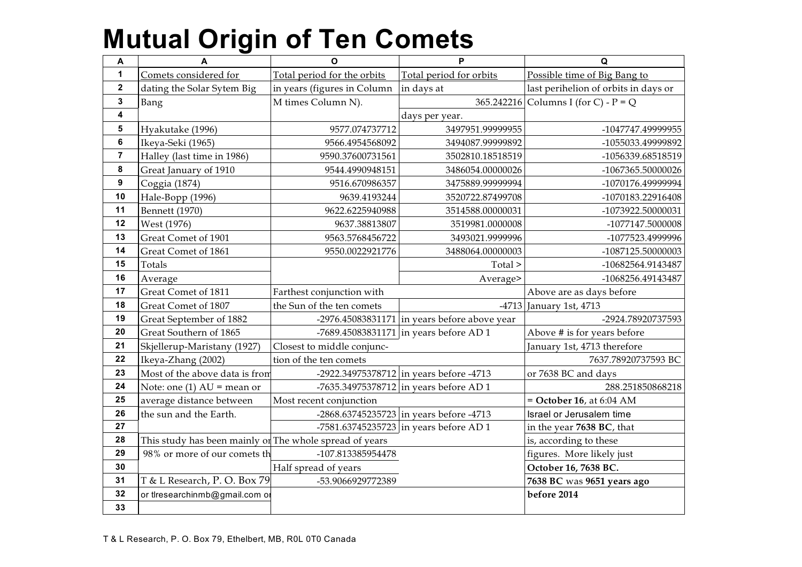| A                       | A                                                       | $\mathbf{o}$                | P                                              | Q                                    |
|-------------------------|---------------------------------------------------------|-----------------------------|------------------------------------------------|--------------------------------------|
| 1                       | Comets considered for                                   | Total period for the orbits | Total period for orbits                        | Possible time of Big Bang to         |
| $\mathbf{2}$            | dating the Solar Sytem Big                              | in years (figures in Column | in days at                                     | last perihelion of orbits in days or |
| 3                       | Bang                                                    | M times Column N).          |                                                | 365.242216 Columns I (for C) - P = Q |
| 4                       |                                                         |                             |                                                |                                      |
| 5                       | Hyakutake (1996)                                        | 9577.074737712              | 3497951.99999955                               | -1047747.49999955                    |
| 6                       | Ikeya-Seki (1965)                                       | 9566.4954568092             | 3494087.99999892                               | -1055033.49999892                    |
| $\overline{\mathbf{r}}$ | Halley (last time in 1986)                              | 9590.37600731561            | 3502810.18518519                               | -1056339.68518519                    |
| 8                       | Great January of 1910                                   | 9544.4990948151             | 3486054.00000026                               | -1067365.50000026                    |
| 9                       | Coggia (1874)                                           | 9516.670986357              | 3475889.99999994                               | -1070176.49999994                    |
| 10                      | Hale-Bopp (1996)                                        | 9639.4193244                | 3520722.87499708                               | -1070183.22916408                    |
| 11                      | Bennett (1970)                                          | 9622.6225940988             | 3514588.00000031                               | -1073922.50000031                    |
| 12                      | West (1976)                                             | 9637.38813807               | 3519981.0000008                                | -1077147.5000008                     |
| 13                      | Great Comet of 1901                                     | 9563.5768456722             | 3493021.9999996                                | -1077523.4999996                     |
| 14                      | Great Comet of 1861                                     | 9550.0022921776             | 3488064.00000003                               | -1087125.50000003                    |
| 15                      | Totals                                                  |                             | Total >                                        | -10682564.9143487                    |
| 16                      | Average                                                 |                             | Average>                                       | -1068256.49143487                    |
| 17                      | Great Comet of 1811                                     | Farthest conjunction with   |                                                | Above are as days before             |
| 18                      | Great Comet of 1807                                     | the Sun of the ten comets   | $-4713$                                        | January 1st, 4713                    |
| 19                      | Great September of 1882                                 |                             | $-2976.45083831171$ in years before above year | -2924.78920737593                    |
| 20                      | Great Southern of 1865                                  |                             | -7689.45083831171 in years before AD 1         | Above # is for years before          |
| 21                      | Skjellerup-Maristany (1927)                             | Closest to middle conjunc-  |                                                | January 1st, 4713 therefore          |
| 22                      | Ikeya-Zhang (2002)                                      | tion of the ten comets      |                                                | 7637.78920737593 BC                  |
| 23                      | Most of the above data is from                          |                             | $-2922.34975378712$ in years before $-4713$    | or 7638 BC and days                  |
| 24                      | Note: one (1) $AU =$ mean or                            |                             | -7635.34975378712 in years before AD 1         | 288.251850868218                     |
| 25                      | average distance between                                | Most recent conjunction     |                                                | $=$ October 16, at 6:04 AM           |
| 26                      | the sun and the Earth.                                  |                             | $-2868.63745235723$ in years before $-4713$    | Israel or Jerusalem time             |
| 27                      |                                                         |                             | -7581.63745235723 in years before AD 1         | in the year 7638 BC, that            |
| 28                      | This study has been mainly or The whole spread of years |                             |                                                | is, according to these               |
| 29                      | 98% or more of our comets th                            | -107.813385954478           |                                                | figures. More likely just            |
| 30                      |                                                         | Half spread of years        |                                                | October 16, 7638 BC.                 |
| 31                      | T & L Research, P. O. Box 79                            | -53.9066929772389           |                                                | 7638 BC was 9651 years ago           |
| 32                      | or tlresearchinmb@gmail.com or                          |                             |                                                | before 2014                          |
| 33                      |                                                         |                             |                                                |                                      |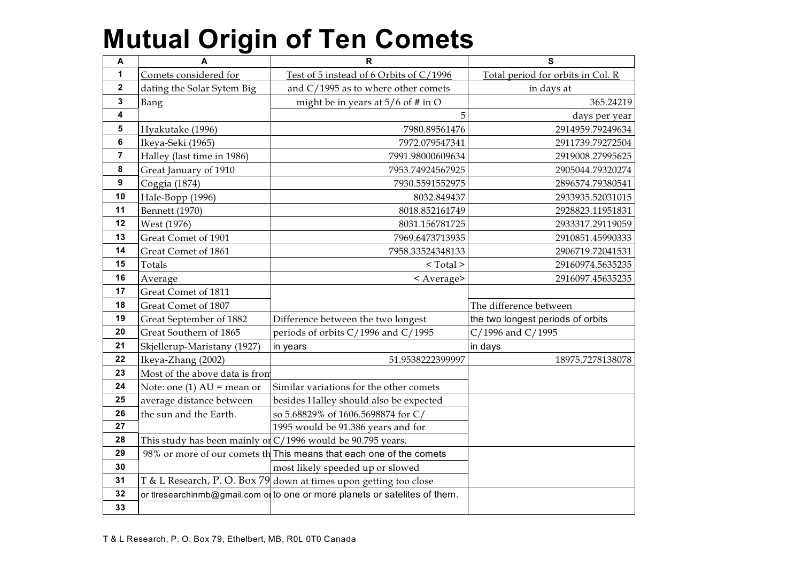| A              | A                              | $\mathbf R$                                                                 | S                                 |
|----------------|--------------------------------|-----------------------------------------------------------------------------|-----------------------------------|
| 1              | Comets considered for          | Test of 5 instead of 6 Orbits of C/1996                                     | Total period for orbits in Col. R |
| $\mathbf 2$    | dating the Solar Sytem Big     | and $C/1995$ as to where other comets                                       | in days at                        |
| 3              | Bang                           | might be in years at $5/6$ of # in O                                        | 365.24219                         |
| 4              |                                | 5                                                                           | days per year                     |
| 5              | Hyakutake (1996)               | 7980.89561476                                                               | 2914959.79249634                  |
| 6              | Ikeya-Seki (1965)              | 7972.079547341                                                              | 2911739.79272504                  |
| $\overline{7}$ | Halley (last time in 1986)     | 7991.98000609634                                                            | 2919008.27995625                  |
| 8              | Great January of 1910          | 7953.74924567925                                                            | 2905044.79320274                  |
| 9              | Coggia (1874)                  | 7930.5591552975                                                             | 2896574.79380541                  |
| 10             | Hale-Bopp (1996)               | 8032.849437                                                                 | 2933935.52031015                  |
| 11             | <b>Bennett</b> (1970)          | 8018.852161749                                                              | 2928823.11951831                  |
| 12             | West (1976)                    | 8031.156781725                                                              | 2933317.29119059                  |
| 13             | Great Comet of 1901            | 7969.6473713935                                                             | 2910851.45990333                  |
| 14             | Great Comet of 1861            | 7958.33524348133                                                            | 2906719.72041531                  |
| 15             | Totals                         | $<$ Total $>$                                                               | 29160974.5635235                  |
| 16             | Average                        | < Average>                                                                  | 2916097.45635235                  |
| 17             | Great Comet of 1811            |                                                                             |                                   |
| 18             | Great Comet of 1807            |                                                                             | The difference between            |
| 19             | Great September of 1882        | Difference between the two longest                                          | the two longest periods of orbits |
| 20             | Great Southern of 1865         | periods of orbits C/1996 and C/1995                                         | C/1996 and C/1995                 |
| 21             | Skjellerup-Maristany (1927)    | in years                                                                    | in days                           |
| 22             | Ikeya-Zhang (2002)             | 51.9538222399997                                                            | 18975.7278138078                  |
| 23             | Most of the above data is from |                                                                             |                                   |
| 24             | Note: one (1) $AU =$ mean or   | Similar variations for the other comets                                     |                                   |
| 25             | average distance between       | besides Halley should also be expected                                      |                                   |
| 26             | the sun and the Earth.         | so 5.68829% of 1606.5698874 for C/                                          |                                   |
| 27             |                                | 1995 would be 91.386 years and for                                          |                                   |
| 28             |                                | This study has been mainly or $C/1996$ would be 90.795 years.               |                                   |
| 29             |                                | 98% or more of our comets the This means that each one of the comets        |                                   |
| 30             |                                | most likely speeded up or slowed                                            |                                   |
| 31             |                                | T & L Research, P. O. Box 79 down at times upon getting too close           |                                   |
| 32             |                                | or tlresearchinmb@gmail.com of to one or more planets or satelites of them. |                                   |
| 33             |                                |                                                                             |                                   |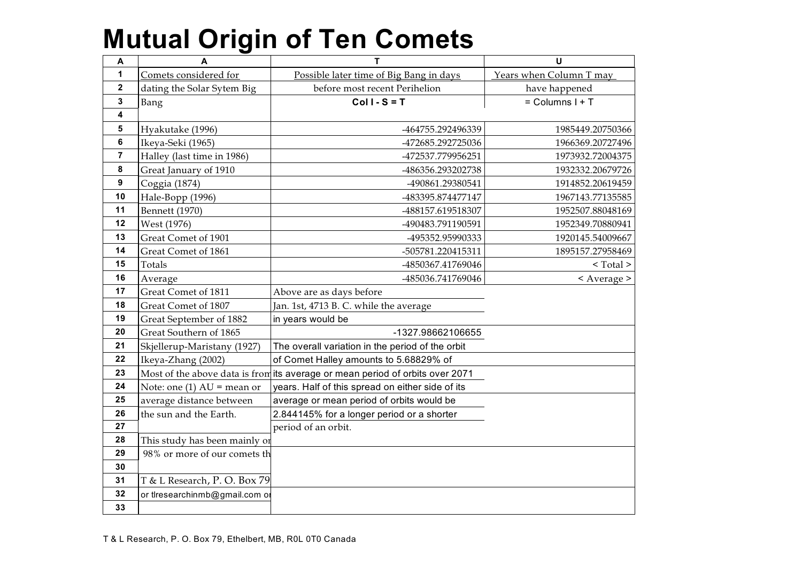| A                       | A                              | т                                                                             | U                       |
|-------------------------|--------------------------------|-------------------------------------------------------------------------------|-------------------------|
| 1                       | Comets considered for          | Possible later time of Big Bang in days                                       | Years when Column T may |
| $\overline{2}$          | dating the Solar Sytem Big     | before most recent Perihelion                                                 | have happened           |
| 3                       | Bang                           | $Coll-S = T$                                                                  | $=$ Columns I + T       |
| $\overline{\mathbf{4}}$ |                                |                                                                               |                         |
| $\overline{\mathbf{5}}$ | Hyakutake (1996)               | -464755.292496339                                                             | 1985449.20750366        |
| $\bf 6$                 | Ikeya-Seki (1965)              | -472685.292725036                                                             | 1966369.20727496        |
| $\overline{7}$          | Halley (last time in 1986)     | -472537.779956251                                                             | 1973932.72004375        |
| 8                       | Great January of 1910          | -486356.293202738                                                             | 1932332.20679726        |
| 9                       | Coggia (1874)                  | -490861.29380541                                                              | 1914852.20619459        |
| 10                      | Hale-Bopp (1996)               | -483395.874477147                                                             | 1967143.77135585        |
| 11                      | Bennett (1970)                 | -488157.619518307                                                             | 1952507.88048169        |
| 12                      | West (1976)                    | -490483.791190591                                                             | 1952349.70880941        |
| 13                      | Great Comet of 1901            | -495352.95990333                                                              | 1920145.54009667        |
| 14                      | Great Comet of 1861            | -505781.220415311                                                             | 1895157.27958469        |
| 15                      | Totals                         | -4850367.41769046                                                             | $<$ Total $>$           |
| 16                      | Average                        | -485036.741769046                                                             | < Average >             |
| 17                      | Great Comet of 1811            | Above are as days before                                                      |                         |
| 18                      | Great Comet of 1807            | Jan. 1st, 4713 B. C. while the average                                        |                         |
| 19                      | Great September of 1882        | in years would be                                                             |                         |
| 20                      | Great Southern of 1865         | -1327.98662106655                                                             |                         |
| 21                      | Skjellerup-Maristany (1927)    | The overall variation in the period of the orbit                              |                         |
| 22                      | Ikeya-Zhang (2002)             | of Comet Halley amounts to 5.68829% of                                        |                         |
| 23                      |                                | Most of the above data is from its average or mean period of orbits over 2071 |                         |
| 24                      | Note: one (1) $AU =$ mean or   | years. Half of this spread on either side of its                              |                         |
| 25                      | average distance between       | average or mean period of orbits would be                                     |                         |
| 26                      | the sun and the Earth.         | 2.844145% for a longer period or a shorter                                    |                         |
| 27                      |                                | period of an orbit.                                                           |                         |
| 28                      | This study has been mainly or  |                                                                               |                         |
| 29                      | 98% or more of our comets th   |                                                                               |                         |
| 30                      |                                |                                                                               |                         |
| 31                      | T & L Research, P. O. Box 79   |                                                                               |                         |
| 32                      | or tlresearchinmb@gmail.com or |                                                                               |                         |
| 33                      |                                |                                                                               |                         |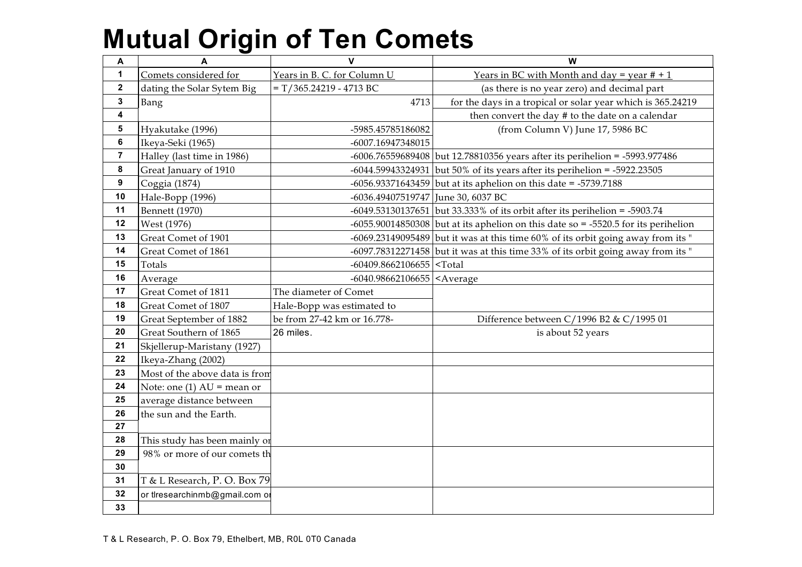| Α                       | A                              | $\mathbf{V}$                                             | W                                                                                      |
|-------------------------|--------------------------------|----------------------------------------------------------|----------------------------------------------------------------------------------------|
| $\mathbf{1}$            | Comets considered for          | Years in B. C. for Column U                              | Years in BC with Month and day = year $# + 1$                                          |
| $\mathbf{2}$            | dating the Solar Sytem Big     | $=T/365.24219 - 4713 BC$                                 | (as there is no year zero) and decimal part                                            |
| $\mathbf 3$             | Bang                           | 4713                                                     | for the days in a tropical or solar year which is 365.24219                            |
| $\overline{\mathbf{4}}$ |                                |                                                          | then convert the day # to the date on a calendar                                       |
| $5\phantom{.0}$         | Hyakutake (1996)               | -5985.45785186082                                        | (from Column V) June 17, 5986 BC                                                       |
| 6                       | Ikeya-Seki (1965)              | -6007.16947348015                                        |                                                                                        |
| $\overline{7}$          | Halley (last time in 1986)     |                                                          | $-6006.76559689408$ but 12.78810356 years after its perihelion = $-5993.977486$        |
| 8                       | Great January of 1910          |                                                          | $-6044.59943324931$ but 50% of its years after its perihelion = $-5922.23505$          |
| 9                       | Coggia (1874)                  |                                                          | $-6056.93371643459$ but at its aphelion on this date = $-5739.7188$                    |
| 10                      | Hale-Bopp (1996)               | -6036.49407519747 June 30, 6037 BC                       |                                                                                        |
| 11                      | <b>Bennett</b> (1970)          |                                                          | $-6049.53130137651$ but 33.333% of its orbit after its perihelion = $-5903.74$         |
| 12                      | West (1976)                    |                                                          | $-6055.90014850308$ but at its aphelion on this date so = $-5520.5$ for its perihelion |
| 13                      | Great Comet of 1901            |                                                          | $-6069.23149095489$ but it was at this time 60% of its orbit going away from its "     |
| 14                      | Great Comet of 1861            |                                                          | $-6097.78312271458$ but it was at this time 33% of its orbit going away from its "     |
| 15                      | Totals                         | $-60409.8662106655$ <total< th=""><th></th></total<>     |                                                                                        |
| 16                      | Average                        | $-6040.98662106655$ <average< th=""><th></th></average<> |                                                                                        |
| 17                      | Great Comet of 1811            | The diameter of Comet                                    |                                                                                        |
| 18                      | Great Comet of 1807            | Hale-Bopp was estimated to                               |                                                                                        |
| 19                      | Great September of 1882        | be from 27-42 km or 16.778-                              | Difference between C/1996 B2 & C/1995 01                                               |
| 20                      | Great Southern of 1865         | 26 miles.                                                | is about 52 years                                                                      |
| 21                      | Skjellerup-Maristany (1927)    |                                                          |                                                                                        |
| 22                      | Ikeya-Zhang (2002)             |                                                          |                                                                                        |
| 23                      | Most of the above data is from |                                                          |                                                                                        |
| 24                      | Note: one (1) $AU =$ mean or   |                                                          |                                                                                        |
| 25                      | average distance between       |                                                          |                                                                                        |
| 26                      | the sun and the Earth.         |                                                          |                                                                                        |
| 27                      |                                |                                                          |                                                                                        |
| 28                      | This study has been mainly or  |                                                          |                                                                                        |
| 29                      | 98% or more of our comets th   |                                                          |                                                                                        |
| 30                      |                                |                                                          |                                                                                        |
| 31                      | T & L Research, P. O. Box 79   |                                                          |                                                                                        |
| 32                      | or tlresearchinmb@gmail.com of |                                                          |                                                                                        |
| 33                      |                                |                                                          |                                                                                        |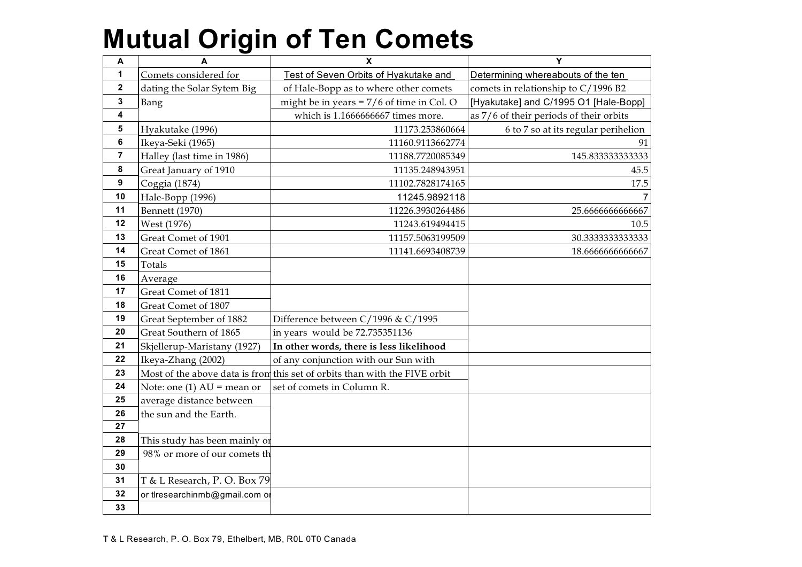| Α                       | $\mathbf{A}$                   | $\boldsymbol{\mathsf{x}}$                                                  | Y                                       |
|-------------------------|--------------------------------|----------------------------------------------------------------------------|-----------------------------------------|
| 1                       | Comets considered for          | Test of Seven Orbits of Hyakutake and                                      | Determining whereabouts of the ten      |
| $\mathbf 2$             | dating the Solar Sytem Big     | of Hale-Bopp as to where other comets                                      | comets in relationship to C/1996 B2     |
| 3                       | Bang                           | might be in years = $7/6$ of time in Col. O                                | [Hyakutake] and C/1995 O1 [Hale-Bopp]   |
| 4                       |                                | which is 1.1666666667 times more.                                          | as 7/6 of their periods of their orbits |
| 5                       | Hyakutake (1996)               | 11173.253860664                                                            | 6 to 7 so at its regular perihelion     |
| 6                       | Ikeya-Seki (1965)              | 11160.9113662774                                                           | 91                                      |
| $\overline{\mathbf{r}}$ | Halley (last time in 1986)     | 11188.7720085349                                                           | 145.8333333333333                       |
| 8                       | Great January of 1910          | 11135.248943951                                                            | 45.5                                    |
| 9                       | Coggia (1874)                  | 11102.7828174165                                                           | 17.5                                    |
| 10                      | Hale-Bopp (1996)               | 11245.9892118                                                              | $\overline{7}$                          |
| 11                      | <b>Bennett</b> (1970)          | 11226.3930264486                                                           | 25.6666666666667                        |
| 12                      | West (1976)                    | 11243.619494415                                                            | 10.5                                    |
| 13                      | Great Comet of 1901            | 11157.5063199509                                                           | 30.3333333333333                        |
| 14                      | Great Comet of 1861            | 11141.6693408739                                                           | 18.666666666667                         |
| 15                      | Totals                         |                                                                            |                                         |
| 16                      | Average                        |                                                                            |                                         |
| 17                      | Great Comet of 1811            |                                                                            |                                         |
| 18                      | Great Comet of 1807            |                                                                            |                                         |
| 19                      | Great September of 1882        | Difference between C/1996 & C/1995                                         |                                         |
| 20                      | Great Southern of 1865         | in years would be 72.735351136                                             |                                         |
| 21                      | Skjellerup-Maristany (1927)    | In other words, there is less likelihood                                   |                                         |
| 22                      | Ikeya-Zhang (2002)             | of any conjunction with our Sun with                                       |                                         |
| 23                      |                                | Most of the above data is from this set of orbits than with the FIVE orbit |                                         |
| 24                      | Note: one (1) $AU =$ mean or   | set of comets in Column R.                                                 |                                         |
| 25                      | average distance between       |                                                                            |                                         |
| 26                      | the sun and the Earth.         |                                                                            |                                         |
| 27                      |                                |                                                                            |                                         |
| 28                      | This study has been mainly or  |                                                                            |                                         |
| 29                      | 98% or more of our comets th   |                                                                            |                                         |
| 30                      |                                |                                                                            |                                         |
| 31                      | T & L Research, P. O. Box 79   |                                                                            |                                         |
| 32                      | or tlresearchinmb@gmail.com or |                                                                            |                                         |
| 33                      |                                |                                                                            |                                         |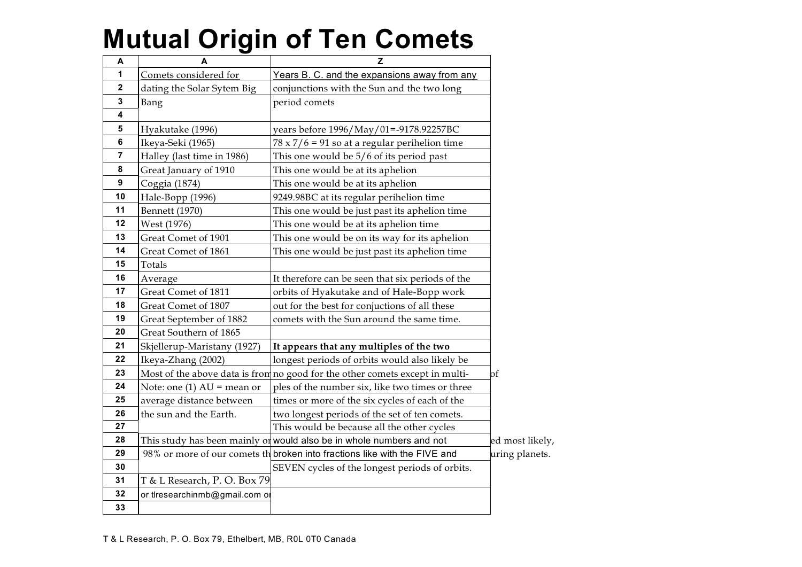| A                       | A                              | z                                                                            |                 |
|-------------------------|--------------------------------|------------------------------------------------------------------------------|-----------------|
| 1                       | Comets considered for          | Years B. C. and the expansions away from any                                 |                 |
| $\mathbf 2$             | dating the Solar Sytem Big     | conjunctions with the Sun and the two long                                   |                 |
| 3                       | Bang                           | period comets                                                                |                 |
| 4                       |                                |                                                                              |                 |
| $5\phantom{.0}$         | Hyakutake (1996)               | years before 1996/May/01=-9178.92257BC                                       |                 |
| 6                       | Ikeya-Seki (1965)              | $78 \times 7/6 = 91$ so at a regular perihelion time                         |                 |
| $\overline{\mathbf{r}}$ | Halley (last time in 1986)     | This one would be 5/6 of its period past                                     |                 |
| 8                       | Great January of 1910          | This one would be at its aphelion                                            |                 |
| 9                       | Coggia (1874)                  | This one would be at its aphelion                                            |                 |
| 10                      | Hale-Bopp (1996)               | 9249.98BC at its regular perihelion time                                     |                 |
| 11                      | Bennett (1970)                 | This one would be just past its aphelion time                                |                 |
| 12                      | West (1976)                    | This one would be at its aphelion time                                       |                 |
| 13                      | Great Comet of 1901            | This one would be on its way for its aphelion                                |                 |
| 14                      | Great Comet of 1861            | This one would be just past its aphelion time                                |                 |
| 15                      | Totals                         |                                                                              |                 |
| 16                      | Average                        | It therefore can be seen that six periods of the                             |                 |
| 17                      | Great Comet of 1811            | orbits of Hyakutake and of Hale-Bopp work                                    |                 |
| 18                      | Great Comet of 1807            | out for the best for conjuctions of all these                                |                 |
| 19                      | Great September of 1882        | comets with the Sun around the same time.                                    |                 |
| 20                      | Great Southern of 1865         |                                                                              |                 |
| 21                      | Skjellerup-Maristany (1927)    | It appears that any multiples of the two                                     |                 |
| 22                      | Ikeya-Zhang (2002)             | longest periods of orbits would also likely be                               |                 |
| 23                      |                                | Most of the above data is from no good for the other comets except in multi- | of              |
| 24                      | Note: one (1) $AU =$ mean or   | ples of the number six, like two times or three                              |                 |
| 25                      | average distance between       | times or more of the six cycles of each of the                               |                 |
| 26                      | the sun and the Earth.         | two longest periods of the set of ten comets.                                |                 |
| 27                      |                                | This would be because all the other cycles                                   |                 |
| 28                      |                                | This study has been mainly or would also be in whole numbers and not         | ed most likely, |
| 29                      |                                | 98% or more of our comets th broken into fractions like with the FIVE and    | uring planets.  |
| 30                      |                                | SEVEN cycles of the longest periods of orbits.                               |                 |
| 31                      | T & L Research, P. O. Box 79   |                                                                              |                 |
| 32                      | or tlresearchinmb@gmail.com or |                                                                              |                 |
| 33                      |                                |                                                                              |                 |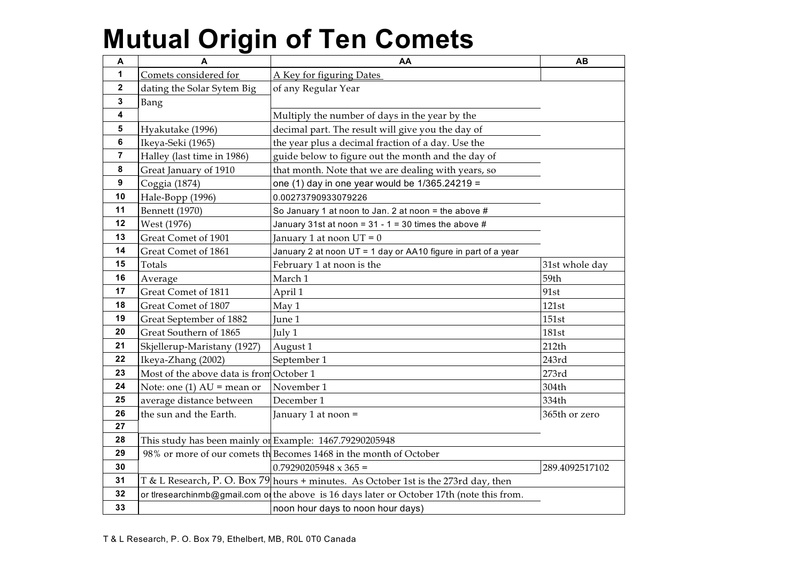| A                | A                                                       | AA                                                                                         | <b>AB</b>      |
|------------------|---------------------------------------------------------|--------------------------------------------------------------------------------------------|----------------|
| 1                | Comets considered for                                   | A Key for figuring Dates                                                                   |                |
| $\mathbf 2$      | dating the Solar Sytem Big                              | of any Regular Year                                                                        |                |
| 3                | Bang                                                    |                                                                                            |                |
| 4                |                                                         | Multiply the number of days in the year by the                                             |                |
| 5                | Hyakutake (1996)                                        | decimal part. The result will give you the day of                                          |                |
| 6                | Ikeya-Seki (1965)                                       | the year plus a decimal fraction of a day. Use the                                         |                |
| $\overline{7}$   | Halley (last time in 1986)                              | guide below to figure out the month and the day of                                         |                |
| $\pmb{8}$        | Great January of 1910                                   | that month. Note that we are dealing with years, so                                        |                |
| $\boldsymbol{9}$ | Coggia (1874)                                           | one (1) day in one year would be $1/365.24219 =$                                           |                |
| 10               | Hale-Bopp (1996)                                        | 0.00273790933079226                                                                        |                |
| 11               | Bennett (1970)                                          | So January 1 at noon to Jan. 2 at noon = the above #                                       |                |
| 12               | West (1976)                                             | January 31st at noon = $31 - 1 = 30$ times the above #                                     |                |
| 13               | Great Comet of 1901                                     | January 1 at noon $UT = 0$                                                                 |                |
| 14               | Great Comet of 1861                                     | January 2 at noon UT = 1 day or AA10 figure in part of a year                              |                |
| 15               | Totals                                                  | February 1 at noon is the                                                                  | 31st whole day |
| 16               | Average                                                 | March 1                                                                                    | 59th           |
| 17               | Great Comet of 1811                                     | April 1                                                                                    | 91st           |
| 18               | Great Comet of 1807                                     | May 1                                                                                      | 121st          |
| 19               | Great September of 1882                                 | June 1                                                                                     | 151st          |
| 20               | Great Southern of 1865                                  | July 1                                                                                     | 181st          |
| 21               | Skjellerup-Maristany (1927)                             | August 1                                                                                   | 212th          |
| 22               | Ikeya-Zhang (2002)                                      | September 1                                                                                | 243rd          |
| 23               | Most of the above data is from October 1                |                                                                                            | 273rd          |
| 24               | Note: one $(1)$ AU = mean or                            | November 1                                                                                 | 304th          |
| 25               | average distance between                                | December 1                                                                                 | 334th          |
| 26               | the sun and the Earth.                                  | January 1 at noon =                                                                        | 365th or zero  |
| 27               |                                                         |                                                                                            |                |
| 28               | This study has been mainly or Example: 1467.79290205948 |                                                                                            |                |
| 29               |                                                         | 98% or more of our comets th Becomes 1468 in the month of October                          |                |
| 30               |                                                         | $0.79290205948 \times 365 =$                                                               | 289.4092517102 |
| 31               |                                                         | T & L Research, P. O. Box 79 hours + minutes. As October 1st is the 273rd day, then        |                |
| 32               |                                                         | or thresearchinmb@gmail.com of the above is 16 days later or October 17th (note this from. |                |
| 33               |                                                         | noon hour days to noon hour days)                                                          |                |